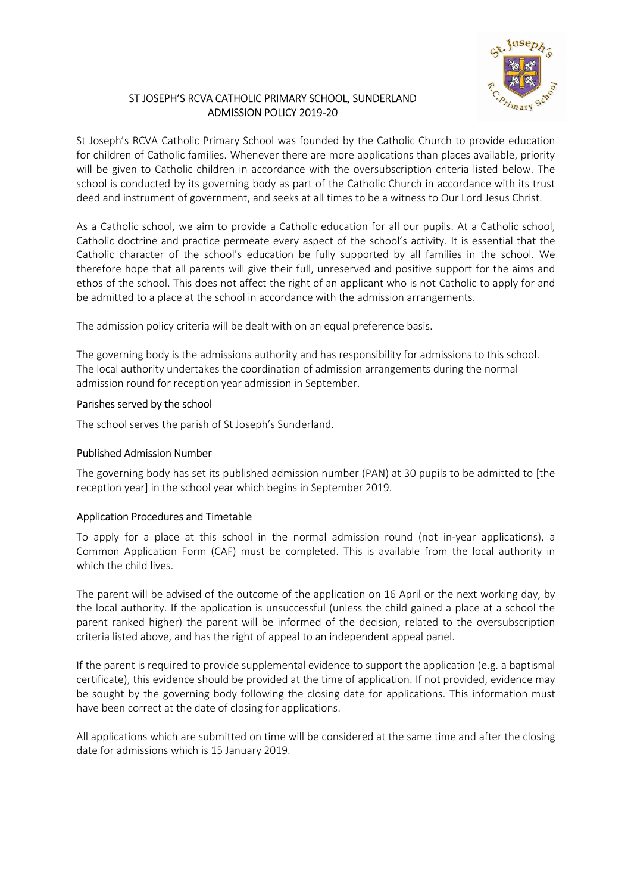

# ST JOSEPH'S RCVA CATHOLIC PRIMARY SCHOOL, SUNDERLAND ADMISSION POLICY 2019-20

St Joseph's RCVA Catholic Primary School was founded by the Catholic Church to provide education for children of Catholic families. Whenever there are more applications than places available, priority will be given to Catholic children in accordance with the oversubscription criteria listed below. The school is conducted by its governing body as part of the Catholic Church in accordance with its trust deed and instrument of government, and seeks at all times to be a witness to Our Lord Jesus Christ.

As a Catholic school, we aim to provide a Catholic education for all our pupils. At a Catholic school, Catholic doctrine and practice permeate every aspect of the school's activity. It is essential that the Catholic character of the school's education be fully supported by all families in the school. We therefore hope that all parents will give their full, unreserved and positive support for the aims and ethos of the school. This does not affect the right of an applicant who is not Catholic to apply for and be admitted to a place at the school in accordance with the admission arrangements.

The admission policy criteria will be dealt with on an equal preference basis.

The governing body is the admissions authority and has responsibility for admissions to this school. The local authority undertakes the coordination of admission arrangements during the normal admission round for reception year admission in September.

## Parishes served by the school

The school serves the parish of St Joseph's Sunderland.

## Published Admission Number

The governing body has set its published admission number (PAN) at 30 pupils to be admitted to [the reception year] in the school year which begins in September 2019.

## Application Procedures and Timetable

To apply for a place at this school in the normal admission round (not in-year applications), a Common Application Form (CAF) must be completed. This is available from the local authority in which the child lives

The parent will be advised of the outcome of the application on 16 April or the next working day, by the local authority. If the application is unsuccessful (unless the child gained a place at a school the parent ranked higher) the parent will be informed of the decision, related to the oversubscription criteria listed above, and has the right of appeal to an independent appeal panel.

If the parent is required to provide supplemental evidence to support the application (e.g. a baptismal certificate), this evidence should be provided at the time of application. If not provided, evidence may be sought by the governing body following the closing date for applications. This information must have been correct at the date of closing for applications.

All applications which are submitted on time will be considered at the same time and after the closing date for admissions which is 15 January 2019.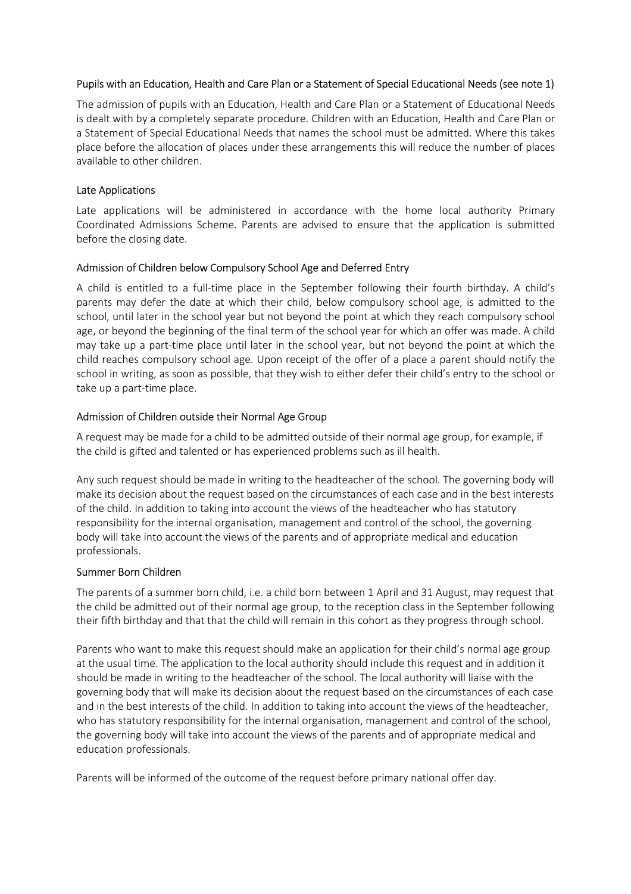## Pupils with an Education, Health and Care Plan or a Statement of Special Educational Needs (see note 1)

The admission of pupils with an Education, Health and Care Plan or a Statement of Educational Needs is dealt with by a completely separate procedure. Children with an Education, Health and Care Plan or a Statement of Special Educational Needs that names the school must be admitted. Where this takes place before the allocation of places under these arrangements this will reduce the number of places available to other children.

## Late Applications

Late applications will be administered in accordance with the home local authority Primary Coordinated Admissions Scheme. Parents are advised to ensure that the application is submitted before the closing date.

## Admission of Children below Compulsory School Age and Deferred Entry

A child is entitled to a full-time place in the September following their fourth birthday. A child's parents may defer the date at which their child, below compulsory school age, is admitted to the school, until later in the school year but not beyond the point at which they reach compulsory school age, or beyond the beginning of the final term of the school year for which an offer was made. A child may take up a part-time place until later in the school year, but not beyond the point at which the child reaches compulsory school age. Upon receipt of the offer of a place a parent should notify the school in writing, as soon as possible, that they wish to either defer their child's entry to the school or take up a part-time place.

## Admission of Children outside their Normal Age Group

A request may be made for a child to be admitted outside of their normal age group, for example, if the child is gifted and talented or has experienced problems such as ill health.

Any such request should be made in writing to the headteacher of the school. The governing body will make its decision about the request based on the circumstances of each case and in the best interests of the child. In addition to taking into account the views of the headteacher who has statutory responsibility for the internal organisation, management and control of the school, the governing body will take into account the views of the parents and of appropriate medical and education professionals.

#### Summer Born Children

The parents of a summer born child, i.e. a child born between 1 April and 31 August, may request that the child be admitted out of their normal age group, to the reception class in the September following their fifth birthday and that that the child will remain in this cohort as they progress through school.

Parents who want to make this request should make an application for their child's normal age group at the usual time. The application to the local authority should include this request and in addition it should be made in writing to the headteacher of the school. The local authority will liaise with the governing body that will make its decision about the request based on the circumstances of each case and in the best interests of the child. In addition to taking into account the views of the headteacher, who has statutory responsibility for the internal organisation, management and control of the school, the governing body will take into account the views of the parents and of appropriate medical and education professionals.

Parents will be informed of the outcome of the request before primary national offer day.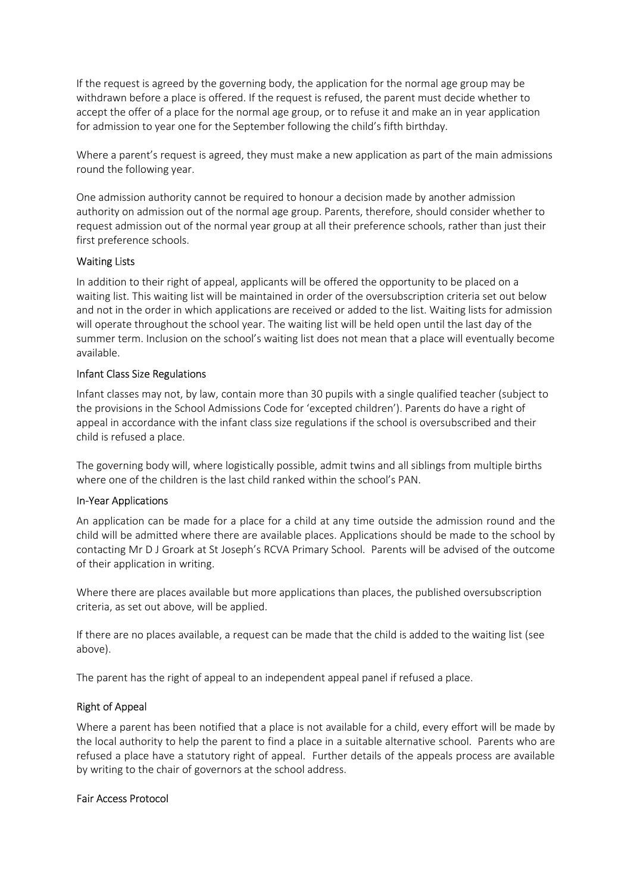If the request is agreed by the governing body, the application for the normal age group may be withdrawn before a place is offered. If the request is refused, the parent must decide whether to accept the offer of a place for the normal age group, or to refuse it and make an in year application for admission to year one for the September following the child's fifth birthday.

Where a parent's request is agreed, they must make a new application as part of the main admissions round the following year.

One admission authority cannot be required to honour a decision made by another admission authority on admission out of the normal age group. Parents, therefore, should consider whether to request admission out of the normal year group at all their preference schools, rather than just their first preference schools.

## Waiting Lists

In addition to their right of appeal, applicants will be offered the opportunity to be placed on a waiting list. This waiting list will be maintained in order of the oversubscription criteria set out below and not in the order in which applications are received or added to the list. Waiting lists for admission will operate throughout the school year. The waiting list will be held open until the last day of the summer term. Inclusion on the school's waiting list does not mean that a place will eventually become available.

## Infant Class Size Regulations

Infant classes may not, by law, contain more than 30 pupils with a single qualified teacher (subject to the provisions in the School Admissions Code for 'excepted children'). Parents do have a right of appeal in accordance with the infant class size regulations if the school is oversubscribed and their child is refused a place.

The governing body will, where logistically possible, admit twins and all siblings from multiple births where one of the children is the last child ranked within the school's PAN.

## In-Year Applications

An application can be made for a place for a child at any time outside the admission round and the child will be admitted where there are available places. Applications should be made to the school by contacting Mr D J Groark at St Joseph's RCVA Primary School. Parents will be advised of the outcome of their application in writing.

Where there are places available but more applications than places, the published oversubscription criteria, as set out above, will be applied.

If there are no places available, a request can be made that the child is added to the waiting list (see above).

The parent has the right of appeal to an independent appeal panel if refused a place.

## Right of Appeal

Where a parent has been notified that a place is not available for a child, every effort will be made by the local authority to help the parent to find a place in a suitable alternative school. Parents who are refused a place have a statutory right of appeal. Further details of the appeals process are available by writing to the chair of governors at the school address.

#### Fair Access Protocol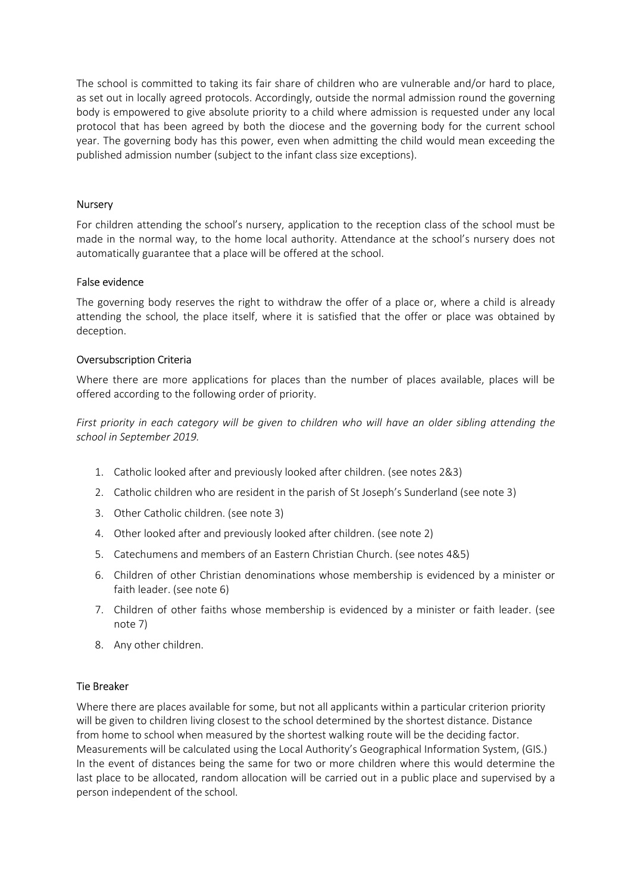The school is committed to taking its fair share of children who are vulnerable and/or hard to place, as set out in locally agreed protocols. Accordingly, outside the normal admission round the governing body is empowered to give absolute priority to a child where admission is requested under any local protocol that has been agreed by both the diocese and the governing body for the current school year. The governing body has this power, even when admitting the child would mean exceeding the published admission number (subject to the infant class size exceptions).

### Nursery

For children attending the school's nursery, application to the reception class of the school must be made in the normal way, to the home local authority. Attendance at the school's nursery does not automatically guarantee that a place will be offered at the school.

## False evidence

The governing body reserves the right to withdraw the offer of a place or, where a child is already attending the school, the place itself, where it is satisfied that the offer or place was obtained by deception.

## Oversubscription Criteria

Where there are more applications for places than the number of places available, places will be offered according to the following order of priority.

*First priority in each category will be given to children who will have an older sibling attending the school in September 2019.* 

- 1. Catholic looked after and previously looked after children. (see notes 2&3)
- 2. Catholic children who are resident in the parish of St Joseph's Sunderland (see note 3)
- 3. Other Catholic children. (see note 3)
- 4. Other looked after and previously looked after children. (see note 2)
- 5. Catechumens and members of an Eastern Christian Church. (see notes 4&5)
- 6. Children of other Christian denominations whose membership is evidenced by a minister or faith leader. (see note 6)
- 7. Children of other faiths whose membership is evidenced by a minister or faith leader. (see note 7)
- 8. Any other children.

#### Tie Breaker

Where there are places available for some, but not all applicants within a particular criterion priority will be given to children living closest to the school determined by the shortest distance. Distance from home to school when measured by the shortest walking route will be the deciding factor. Measurements will be calculated using the Local Authority's Geographical Information System, (GIS.) In the event of distances being the same for two or more children where this would determine the last place to be allocated, random allocation will be carried out in a public place and supervised by a person independent of the school.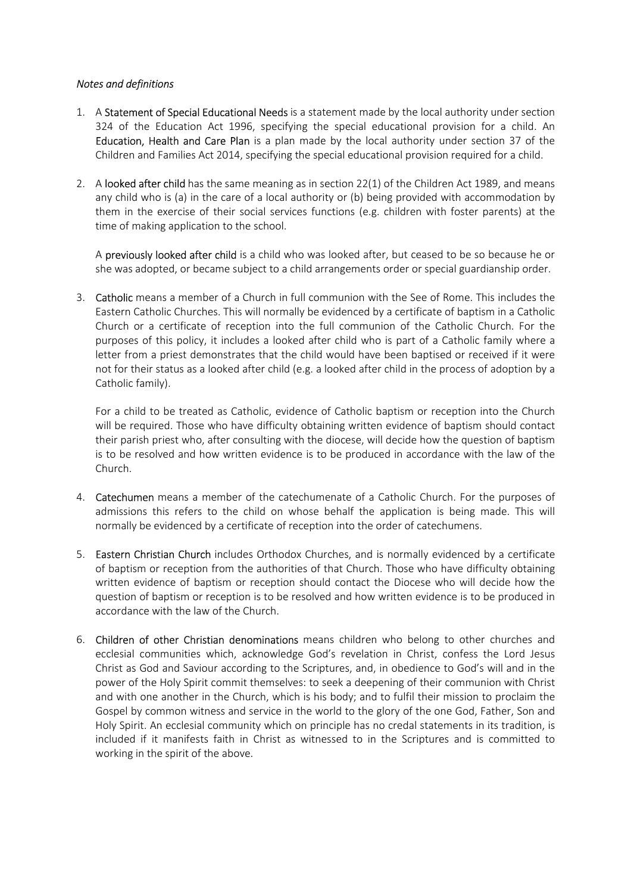## *Notes and definitions*

- 1. A Statement of Special Educational Needs is a statement made by the local authority under section 324 of the Education Act 1996, specifying the special educational provision for a child. An Education, Health and Care Plan is a plan made by the local authority under section 37 of the Children and Families Act 2014, specifying the special educational provision required for a child.
- 2. A looked after child has the same meaning as in section 22(1) of the Children Act 1989, and means any child who is (a) in the care of a local authority or (b) being provided with accommodation by them in the exercise of their social services functions (e.g. children with foster parents) at the time of making application to the school.

A previously looked after child is a child who was looked after, but ceased to be so because he or she was adopted, or became subject to a child arrangements order or special guardianship order.

3. Catholic means a member of a Church in full communion with the See of Rome. This includes the Eastern Catholic Churches. This will normally be evidenced by a certificate of baptism in a Catholic Church or a certificate of reception into the full communion of the Catholic Church. For the purposes of this policy, it includes a looked after child who is part of a Catholic family where a letter from a priest demonstrates that the child would have been baptised or received if it were not for their status as a looked after child (e.g. a looked after child in the process of adoption by a Catholic family).

For a child to be treated as Catholic, evidence of Catholic baptism or reception into the Church will be required. Those who have difficulty obtaining written evidence of baptism should contact their parish priest who, after consulting with the diocese, will decide how the question of baptism is to be resolved and how written evidence is to be produced in accordance with the law of the Church.

- 4. **Catechumen** means a member of the catechumenate of a Catholic Church. For the purposes of admissions this refers to the child on whose behalf the application is being made. This will normally be evidenced by a certificate of reception into the order of catechumens.
- 5. Eastern Christian Church includes Orthodox Churches, and is normally evidenced by a certificate of baptism or reception from the authorities of that Church. Those who have difficulty obtaining written evidence of baptism or reception should contact the Diocese who will decide how the question of baptism or reception is to be resolved and how written evidence is to be produced in accordance with the law of the Church.
- 6. Children of other Christian denominations means children who belong to other churches and ecclesial communities which, acknowledge God's revelation in Christ, confess the Lord Jesus Christ as God and Saviour according to the Scriptures, and, in obedience to God's will and in the power of the Holy Spirit commit themselves: to seek a deepening of their communion with Christ and with one another in the Church, which is his body; and to fulfil their mission to proclaim the Gospel by common witness and service in the world to the glory of the one God, Father, Son and Holy Spirit. An ecclesial community which on principle has no credal statements in its tradition, is included if it manifests faith in Christ as witnessed to in the Scriptures and is committed to working in the spirit of the above.